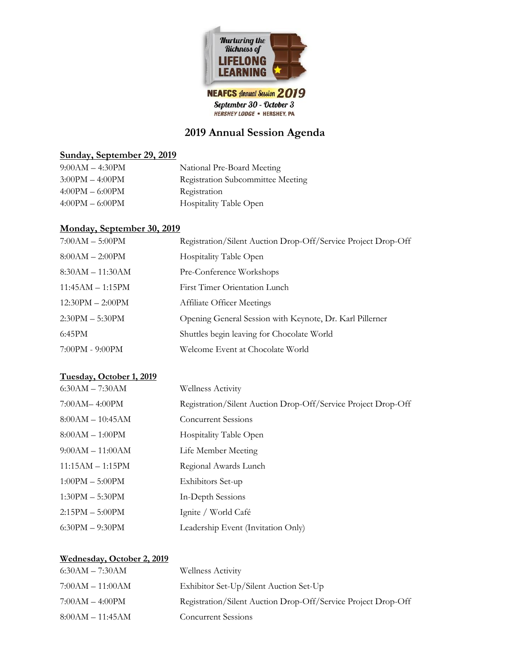

# **2019 Annual Session Agenda**

#### **Sunday, September 29, 2019**

| $9:00AM - 4:30PM$ | National Pre-Board Meeting               |
|-------------------|------------------------------------------|
| $3:00PM - 4:00PM$ | <b>Registration Subcommittee Meeting</b> |
| $4:00PM - 6:00PM$ | Registration                             |
| $4:00PM - 6:00PM$ | Hospitality Table Open                   |

#### **Monday, September 30, 2019**

| $7:00AM - 5:00PM$  | Registration/Silent Auction Drop-Off/Service Project Drop-Off |
|--------------------|---------------------------------------------------------------|
| $8:00AM - 2:00PM$  | Hospitality Table Open                                        |
| $8:30AM - 11:30AM$ | Pre-Conference Workshops                                      |
| $11:45AM - 1:15PM$ | <b>First Timer Orientation Lunch</b>                          |
| $12:30PM - 2:00PM$ | <b>Affiliate Officer Meetings</b>                             |
| $2:30PM - 5:30PM$  | Opening General Session with Keynote, Dr. Karl Pillerner      |
| 6:45PM             | Shuttles begin leaving for Chocolate World                    |
| 7:00PM - 9:00PM    | Welcome Event at Chocolate World                              |

## **Tuesday, October 1, 2019**

| $6:30AM - 7:30AM$  | <b>Wellness Activity</b>                                      |
|--------------------|---------------------------------------------------------------|
| 7:00AM-4:00PM      | Registration/Silent Auction Drop-Off/Service Project Drop-Off |
| $8:00AM - 10:45AM$ | <b>Concurrent Sessions</b>                                    |
| $8:00AM - 1:00PM$  | Hospitality Table Open                                        |
| $9:00AM - 11:00AM$ | Life Member Meeting                                           |
| $11:15AM - 1:15PM$ | Regional Awards Lunch                                         |
| $1:00PM - 5:00PM$  | Exhibitors Set-up                                             |
| $1:30PM - 5:30PM$  | In-Depth Sessions                                             |
| $2:15PM - 5:00PM$  | Ignite / World Café                                           |
| $6:30PM - 9:30PM$  | Leadership Event (Invitation Only)                            |

## **Wednesday, October 2, 2019**

| $6:30AM - 7:30AM$  | <b>Wellness Activity</b>                                      |
|--------------------|---------------------------------------------------------------|
| $7:00AM - 11:00AM$ | Exhibitor Set-Up/Silent Auction Set-Up                        |
| $7:00AM - 4:00PM$  | Registration/Silent Auction Drop-Off/Service Project Drop-Off |
| $8:00AM - 11:45AM$ | <b>Concurrent Sessions</b>                                    |